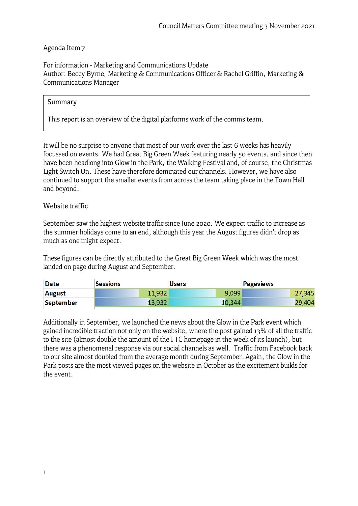## Agenda Item 7

For information - Marketing and Communications Update Author: Beccy Byrne, Marketing & Communications Officer & Rachel Griffin, Marketing & Communications Manager

## Summary

This report is an overview of the digital platforms work of the comms team.

It will be no surprise to anyone that most of our work over the last 6 weeks has heavily focussed on events. We had Great Big Green Week featuring nearly 50 events, and since then have been headlong into Glow in the Park, the Walking Festival and, of course, the Christmas Light Switch On. These have therefore dominated our channels. However, we have also continued to support the smaller events from across the team taking place in the Town Hall and beyond.

## Website traffic

September saw the highest website traffic since June 2020. We expect traffic to increase as the summer holidays come to an end, although this year the August figures didn't drop as much as one might expect.

These figures can be directly attributed to the Great Big Green Week which was the most landed on page during August and September.

| Date      | <b>Sessions</b> | <b>Users</b> | <b>Pageviews</b> |
|-----------|-----------------|--------------|------------------|
| August    | 11.932          | 9,099        | 27,345           |
| September | 13,932          | 10,344       | 29,404           |

Additionally in September, we launched the news about the Glow in the Park event which gained incredible traction not only on the website, where the post gained 13% of all the traffic to the site ( almost double the amount of the FTC homepage in the week of its launch), but there was a phenomenal response via our social channels as well. Traffic from Facebook back to our site almost doubled from the average month during September. Again, the Glow in the Park posts are the most viewed pages on the website in October as the excitement builds for the event.